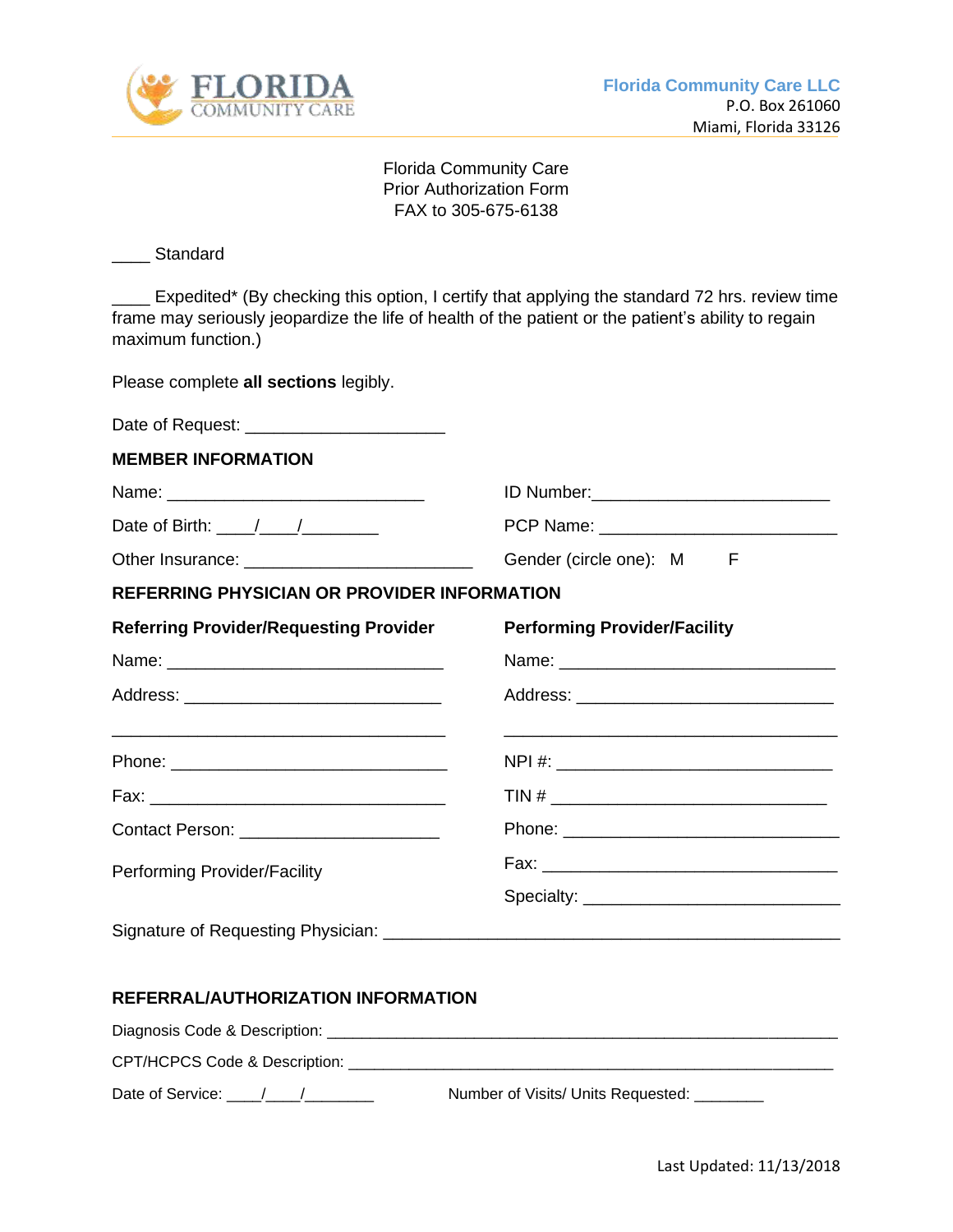

Florida Community Care Prior Authorization Form FAX to 305-675-6138

## \_\_\_\_ Standard

\_\_\_\_ Expedited\* (By checking this option, I certify that applying the standard 72 hrs. review time frame may seriously jeopardize the life of health of the patient or the patient's ability to regain maximum function.)

Please complete **all sections** legibly.

| <b>MEMBER INFORMATION</b>                                                      |                                                                                                                       |
|--------------------------------------------------------------------------------|-----------------------------------------------------------------------------------------------------------------------|
|                                                                                |                                                                                                                       |
| Date of Birth: $\frac{1}{\sqrt{1-\frac{1}{2}}}\frac{1}{\sqrt{1-\frac{1}{2}}}}$ |                                                                                                                       |
|                                                                                | Gender (circle one): M<br>F                                                                                           |
| <b>REFERRING PHYSICIAN OR PROVIDER INFORMATION</b>                             |                                                                                                                       |
| <b>Referring Provider/Requesting Provider</b>                                  | <b>Performing Provider/Facility</b>                                                                                   |
|                                                                                |                                                                                                                       |
|                                                                                |                                                                                                                       |
| <u> 1989 - Jan Barnett, fransk politik (d. 1989)</u>                           | <u> 1989 - Johann Harry Harry Harry Harry Harry Harry Harry Harry Harry Harry Harry Harry Harry Harry Harry Harry</u> |
|                                                                                | $TIN # \_$                                                                                                            |
| Contact Person: _______________________                                        |                                                                                                                       |
| Performing Provider/Facility                                                   |                                                                                                                       |
|                                                                                |                                                                                                                       |
|                                                                                |                                                                                                                       |
|                                                                                |                                                                                                                       |

## **REFERRAL/AUTHORIZATION INFORMATION**

Diagnosis Code & Description: \_\_\_\_\_\_\_\_\_\_\_\_\_\_\_\_\_\_\_\_\_\_\_\_\_\_\_\_\_\_\_\_\_\_\_\_\_\_\_\_\_\_\_\_\_\_\_\_\_\_\_\_\_\_\_\_\_\_\_

CPT/HCPCS Code & Description:

Date of Service: \_\_\_\_/\_\_\_\_/\_\_\_\_\_\_\_\_ Number of Visits/ Units Requested: \_\_\_\_\_\_\_\_